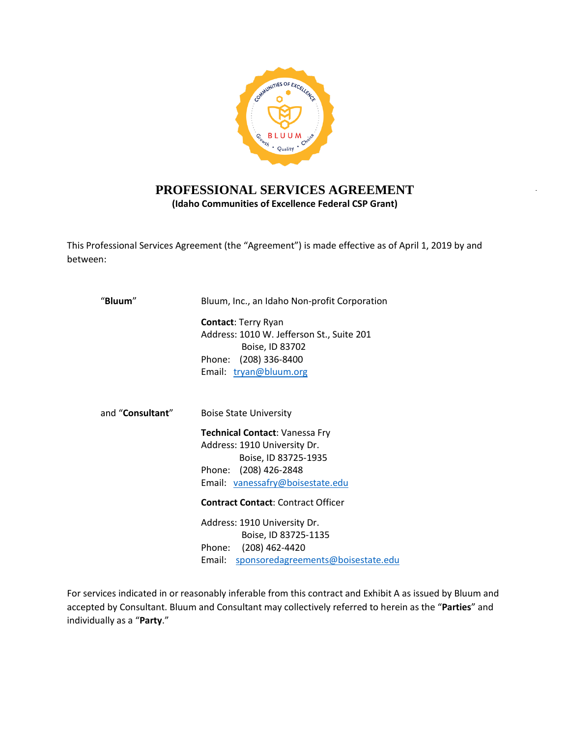

# **PROFESSIONAL SERVICES AGREEMENT (Idaho Communities of Excellence Federal CSP Grant)**

This Professional Services Agreement (the "Agreement") is made effective as of April 1, 2019 by and between:

| Bluum, Inc., an Idaho Non-profit Corporation                                                                                                        |  |  |  |  |
|-----------------------------------------------------------------------------------------------------------------------------------------------------|--|--|--|--|
| <b>Contact: Terry Ryan</b><br>Address: 1010 W. Jefferson St., Suite 201<br>Boise, ID 83702<br>Phone: (208) 336-8400<br>Email: tryan@bluum.org       |  |  |  |  |
| <b>Boise State University</b>                                                                                                                       |  |  |  |  |
| Technical Contact: Vanessa Fry<br>Address: 1910 University Dr.<br>Boise, ID 83725-1935<br>Phone: (208) 426-2848<br>Email: vanessafry@boisestate.edu |  |  |  |  |
| <b>Contract Contact: Contract Officer</b>                                                                                                           |  |  |  |  |
| Address: 1910 University Dr.<br>Boise, ID 83725-1135<br>Phone: (208) 462-4420<br>sponsoredagreements@boisestate.edu<br>Email:                       |  |  |  |  |
|                                                                                                                                                     |  |  |  |  |

For services indicated in or reasonably inferable from this contract and Exhibit A as issued by Bluum and accepted by Consultant. Bluum and Consultant may collectively referred to herein as the "**Parties**" and individually as a "**Party**."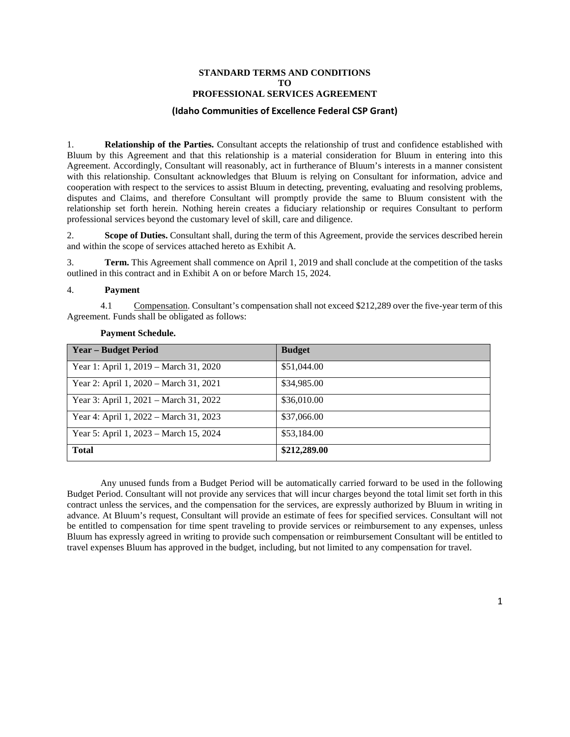#### **STANDARD TERMS AND CONDITIONS TO PROFESSIONAL SERVICES AGREEMENT**

#### **(Idaho Communities of Excellence Federal CSP Grant)**

1. **Relationship of the Parties.** Consultant accepts the relationship of trust and confidence established with Bluum by this Agreement and that this relationship is a material consideration for Bluum in entering into this Agreement. Accordingly, Consultant will reasonably, act in furtherance of Bluum's interests in a manner consistent with this relationship. Consultant acknowledges that Bluum is relying on Consultant for information, advice and cooperation with respect to the services to assist Bluum in detecting, preventing, evaluating and resolving problems, disputes and Claims, and therefore Consultant will promptly provide the same to Bluum consistent with the relationship set forth herein. Nothing herein creates a fiduciary relationship or requires Consultant to perform professional services beyond the customary level of skill, care and diligence.

2. **Scope of Duties.** Consultant shall, during the term of this Agreement, provide the services described herein and within the scope of services attached hereto as Exhibit A.

3. **Term.** This Agreement shall commence on April 1, 2019 and shall conclude at the competition of the tasks outlined in this contract and in Exhibit A on or before March 15, 2024.

#### 4. **Payment**

4.1 Compensation. Consultant's compensation shall not exceed \$212,289 over the five-year term of this Agreement. Funds shall be obligated as follows:

| <b>Year – Budget Period</b>            | <b>Budget</b> |
|----------------------------------------|---------------|
| Year 1: April 1, 2019 – March 31, 2020 | \$51,044.00   |
| Year 2: April 1, 2020 – March 31, 2021 | \$34,985.00   |
| Year 3: April 1, 2021 – March 31, 2022 | \$36,010.00   |
| Year 4: April 1, 2022 – March 31, 2023 | \$37,066.00   |
| Year 5: April 1, 2023 – March 15, 2024 | \$53,184.00   |
| <b>Total</b>                           | \$212,289.00  |

#### **Payment Schedule.**

Any unused funds from a Budget Period will be automatically carried forward to be used in the following Budget Period. Consultant will not provide any services that will incur charges beyond the total limit set forth in this contract unless the services, and the compensation for the services, are expressly authorized by Bluum in writing in advance. At Bluum's request, Consultant will provide an estimate of fees for specified services. Consultant will not be entitled to compensation for time spent traveling to provide services or reimbursement to any expenses, unless Bluum has expressly agreed in writing to provide such compensation or reimbursement Consultant will be entitled to travel expenses Bluum has approved in the budget, including, but not limited to any compensation for travel.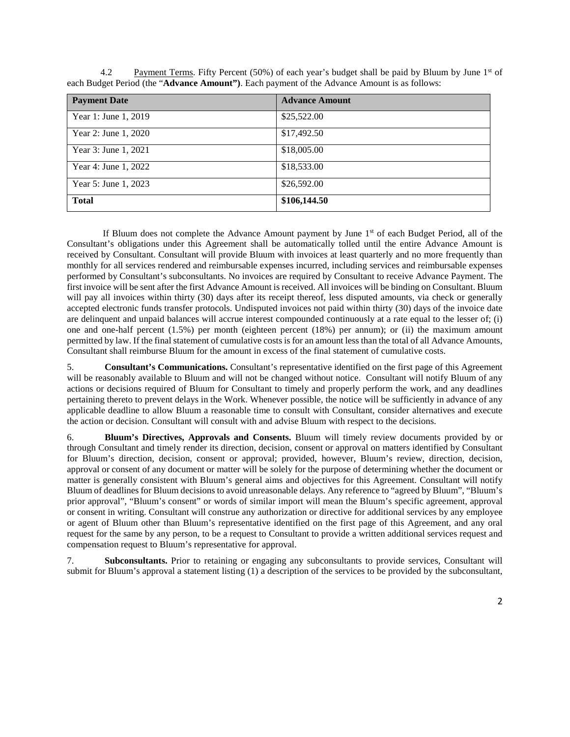| <b>Payment Date</b>  | <b>Advance Amount</b> |
|----------------------|-----------------------|
| Year 1: June 1, 2019 | \$25,522.00           |
| Year 2: June 1, 2020 | \$17,492.50           |
| Year 3: June 1, 2021 | \$18,005.00           |
| Year 4: June 1, 2022 | \$18,533.00           |
| Year 5: June 1, 2023 | \$26,592.00           |
| <b>Total</b>         | \$106,144.50          |

4.2 Payment Terms. Fifty Percent (50%) of each year's budget shall be paid by Bluum by June 1<sup>st</sup> of each Budget Period (the "**Advance Amount")**. Each payment of the Advance Amount is as follows:

If Bluum does not complete the Advance Amount payment by June 1<sup>st</sup> of each Budget Period, all of the Consultant's obligations under this Agreement shall be automatically tolled until the entire Advance Amount is received by Consultant. Consultant will provide Bluum with invoices at least quarterly and no more frequently than monthly for all services rendered and reimbursable expenses incurred, including services and reimbursable expenses performed by Consultant's subconsultants. No invoices are required by Consultant to receive Advance Payment. The first invoice will be sent after the first Advance Amount is received. All invoices will be binding on Consultant. Bluum will pay all invoices within thirty (30) days after its receipt thereof, less disputed amounts, via check or generally accepted electronic funds transfer protocols. Undisputed invoices not paid within thirty (30) days of the invoice date are delinquent and unpaid balances will accrue interest compounded continuously at a rate equal to the lesser of; (i) one and one-half percent (1.5%) per month (eighteen percent (18%) per annum); or (ii) the maximum amount permitted by law. If the final statement of cumulative costs is for an amount less than the total of all Advance Amounts, Consultant shall reimburse Bluum for the amount in excess of the final statement of cumulative costs.

5. **Consultant's Communications.** Consultant's representative identified on the first page of this Agreement will be reasonably available to Bluum and will not be changed without notice. Consultant will notify Bluum of any actions or decisions required of Bluum for Consultant to timely and properly perform the work, and any deadlines pertaining thereto to prevent delays in the Work. Whenever possible, the notice will be sufficiently in advance of any applicable deadline to allow Bluum a reasonable time to consult with Consultant, consider alternatives and execute the action or decision. Consultant will consult with and advise Bluum with respect to the decisions.

6. **Bluum's Directives, Approvals and Consents.** Bluum will timely review documents provided by or through Consultant and timely render its direction, decision, consent or approval on matters identified by Consultant for Bluum's direction, decision, consent or approval; provided, however, Bluum's review, direction, decision, approval or consent of any document or matter will be solely for the purpose of determining whether the document or matter is generally consistent with Bluum's general aims and objectives for this Agreement. Consultant will notify Bluum of deadlines for Bluum decisions to avoid unreasonable delays. Any reference to "agreed by Bluum", "Bluum's prior approval", "Bluum's consent" or words of similar import will mean the Bluum's specific agreement, approval or consent in writing. Consultant will construe any authorization or directive for additional services by any employee or agent of Bluum other than Bluum's representative identified on the first page of this Agreement, and any oral request for the same by any person, to be a request to Consultant to provide a written additional services request and compensation request to Bluum's representative for approval.

7. **Subconsultants.** Prior to retaining or engaging any subconsultants to provide services, Consultant will submit for Bluum's approval a statement listing (1) a description of the services to be provided by the subconsultant,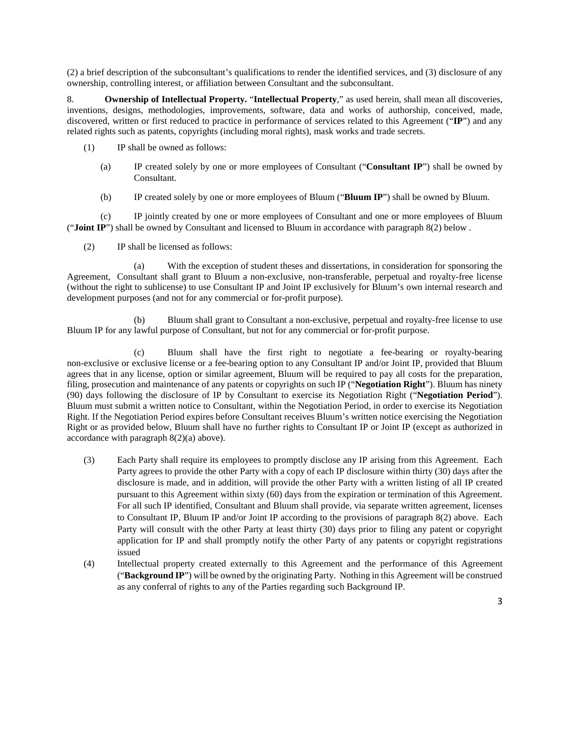(2) a brief description of the subconsultant's qualifications to render the identified services, and (3) disclosure of any ownership, controlling interest, or affiliation between Consultant and the subconsultant.

8. **Ownership of Intellectual Property.** "**Intellectual Property**," as used herein, shall mean all discoveries, inventions, designs, methodologies, improvements, software, data and works of authorship, conceived, made, discovered, written or first reduced to practice in performance of services related to this Agreement ("**IP**") and any related rights such as patents, copyrights (including moral rights), mask works and trade secrets.

- (1) IP shall be owned as follows:
	- (a) IP created solely by one or more employees of Consultant ("**Consultant IP**") shall be owned by Consultant.
	- (b) IP created solely by one or more employees of Bluum ("**Bluum IP**") shall be owned by Bluum.

(c) IP jointly created by one or more employees of Consultant and one or more employees of Bluum ("**Joint IP**") shall be owned by Consultant and licensed to Bluum in accordance with paragraph 8(2) below .

(2) IP shall be licensed as follows:

(a) With the exception of student theses and dissertations, in consideration for sponsoring the Agreement, Consultant shall grant to Bluum a non-exclusive, non-transferable, perpetual and royalty-free license (without the right to sublicense) to use Consultant IP and Joint IP exclusively for Bluum's own internal research and development purposes (and not for any commercial or for-profit purpose).

(b) Bluum shall grant to Consultant a non-exclusive, perpetual and royalty-free license to use Bluum IP for any lawful purpose of Consultant, but not for any commercial or for-profit purpose.

(c) Bluum shall have the first right to negotiate a fee-bearing or royalty-bearing non-exclusive or exclusive license or a fee-bearing option to any Consultant IP and/or Joint IP, provided that Bluum agrees that in any license, option or similar agreement, Bluum will be required to pay all costs for the preparation, filing, prosecution and maintenance of any patents or copyrights on such IP ("**Negotiation Right**"). Bluum has ninety (90) days following the disclosure of IP by Consultant to exercise its Negotiation Right ("**Negotiation Period**"). Bluum must submit a written notice to Consultant, within the Negotiation Period, in order to exercise its Negotiation Right. If the Negotiation Period expires before Consultant receives Bluum's written notice exercising the Negotiation Right or as provided below, Bluum shall have no further rights to Consultant IP or Joint IP (except as authorized in accordance with paragraph 8(2)(a) above).

- (3) Each Party shall require its employees to promptly disclose any IP arising from this Agreement. Each Party agrees to provide the other Party with a copy of each IP disclosure within thirty (30) days after the disclosure is made, and in addition, will provide the other Party with a written listing of all IP created pursuant to this Agreement within sixty (60) days from the expiration or termination of this Agreement. For all such IP identified, Consultant and Bluum shall provide, via separate written agreement, licenses to Consultant IP, Bluum IP and/or Joint IP according to the provisions of paragraph 8(2) above. Each Party will consult with the other Party at least thirty (30) days prior to filing any patent or copyright application for IP and shall promptly notify the other Party of any patents or copyright registrations issued
- (4) Intellectual property created externally to this Agreement and the performance of this Agreement ("**Background IP**") will be owned by the originating Party. Nothing in this Agreement will be construed as any conferral of rights to any of the Parties regarding such Background IP.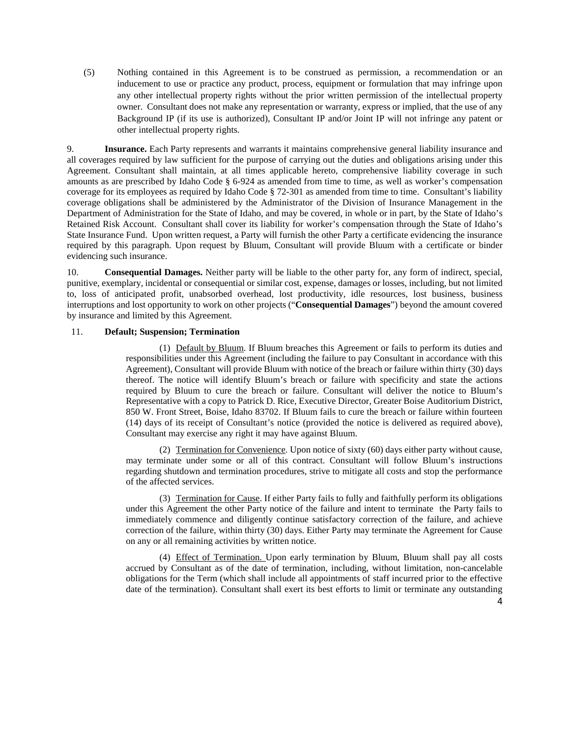(5) Nothing contained in this Agreement is to be construed as permission, a recommendation or an inducement to use or practice any product, process, equipment or formulation that may infringe upon any other intellectual property rights without the prior written permission of the intellectual property owner. Consultant does not make any representation or warranty, express or implied, that the use of any Background IP (if its use is authorized), Consultant IP and/or Joint IP will not infringe any patent or other intellectual property rights.

9. **Insurance.** Each Party represents and warrants it maintains comprehensive general liability insurance and all coverages required by law sufficient for the purpose of carrying out the duties and obligations arising under this Agreement. Consultant shall maintain, at all times applicable hereto, comprehensive liability coverage in such amounts as are prescribed by Idaho Code § 6-924 as amended from time to time, as well as worker's compensation coverage for its employees as required by Idaho Code § 72-301 as amended from time to time. Consultant's liability coverage obligations shall be administered by the Administrator of the Division of Insurance Management in the Department of Administration for the State of Idaho, and may be covered, in whole or in part, by the State of Idaho's Retained Risk Account. Consultant shall cover its liability for worker's compensation through the State of Idaho's State Insurance Fund. Upon written request, a Party will furnish the other Party a certificate evidencing the insurance required by this paragraph. Upon request by Bluum, Consultant will provide Bluum with a certificate or binder evidencing such insurance.

10. **Consequential Damages.** Neither party will be liable to the other party for, any form of indirect, special, punitive, exemplary, incidental or consequential or similar cost, expense, damages or losses, including, but not limited to, loss of anticipated profit, unabsorbed overhead, lost productivity, idle resources, lost business, business interruptions and lost opportunity to work on other projects ("**Consequential Damages**") beyond the amount covered by insurance and limited by this Agreement.

### 11. **Default; Suspension; Termination**

(1) Default by Bluum. If Bluum breaches this Agreement or fails to perform its duties and responsibilities under this Agreement (including the failure to pay Consultant in accordance with this Agreement), Consultant will provide Bluum with notice of the breach or failure within thirty (30) days thereof. The notice will identify Bluum's breach or failure with specificity and state the actions required by Bluum to cure the breach or failure. Consultant will deliver the notice to Bluum's Representative with a copy to Patrick D. Rice, Executive Director, Greater Boise Auditorium District, 850 W. Front Street, Boise, Idaho 83702. If Bluum fails to cure the breach or failure within fourteen (14) days of its receipt of Consultant's notice (provided the notice is delivered as required above), Consultant may exercise any right it may have against Bluum.

(2) Termination for Convenience. Upon notice of sixty (60) days either party without cause, may terminate under some or all of this contract. Consultant will follow Bluum's instructions regarding shutdown and termination procedures, strive to mitigate all costs and stop the performance of the affected services.

(3) Termination for Cause. If either Party fails to fully and faithfully perform its obligations under this Agreement the other Party notice of the failure and intent to terminate the Party fails to immediately commence and diligently continue satisfactory correction of the failure, and achieve correction of the failure, within thirty (30) days. Either Party may terminate the Agreement for Cause on any or all remaining activities by written notice.

(4) Effect of Termination. Upon early termination by Bluum, Bluum shall pay all costs accrued by Consultant as of the date of termination, including, without limitation, non-cancelable obligations for the Term (which shall include all appointments of staff incurred prior to the effective date of the termination). Consultant shall exert its best efforts to limit or terminate any outstanding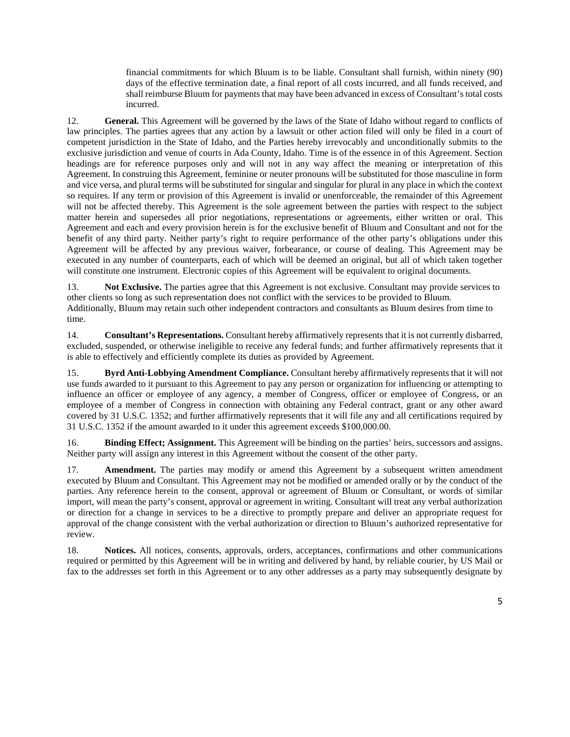financial commitments for which Bluum is to be liable. Consultant shall furnish, within ninety (90) days of the effective termination date, a final report of all costs incurred, and all funds received, and shall reimburse Bluum for payments that may have been advanced in excess of Consultant's total costs incurred.

12. **General.** This Agreement will be governed by the laws of the State of Idaho without regard to conflicts of law principles. The parties agrees that any action by a lawsuit or other action filed will only be filed in a court of competent jurisdiction in the State of Idaho, and the Parties hereby irrevocably and unconditionally submits to the exclusive jurisdiction and venue of courts in Ada County, Idaho. Time is of the essence in of this Agreement. Section headings are for reference purposes only and will not in any way affect the meaning or interpretation of this Agreement. In construing this Agreement, feminine or neuter pronouns will be substituted for those masculine in form and vice versa, and plural terms will be substituted for singular and singular for plural in any place in which the context so requires. If any term or provision of this Agreement is invalid or unenforceable, the remainder of this Agreement will not be affected thereby. This Agreement is the sole agreement between the parties with respect to the subject matter herein and supersedes all prior negotiations, representations or agreements, either written or oral. This Agreement and each and every provision herein is for the exclusive benefit of Bluum and Consultant and not for the benefit of any third party. Neither party's right to require performance of the other party's obligations under this Agreement will be affected by any previous waiver, forbearance, or course of dealing. This Agreement may be executed in any number of counterparts, each of which will be deemed an original, but all of which taken together will constitute one instrument. Electronic copies of this Agreement will be equivalent to original documents.

13. **Not Exclusive.** The parties agree that this Agreement is not exclusive. Consultant may provide services to other clients so long as such representation does not conflict with the services to be provided to Bluum. Additionally, Bluum may retain such other independent contractors and consultants as Bluum desires from time to time.

14. **Consultant's Representations.** Consultant hereby affirmatively represents that it is not currently disbarred, excluded, suspended, or otherwise ineligible to receive any federal funds; and further affirmatively represents that it is able to effectively and efficiently complete its duties as provided by Agreement.

15. **Byrd Anti-Lobbying Amendment Compliance.** Consultant hereby affirmatively represents that it will not use funds awarded to it pursuant to this Agreement to pay any person or organization for influencing or attempting to influence an officer or employee of any agency, a member of Congress, officer or employee of Congress, or an employee of a member of Congress in connection with obtaining any Federal contract, grant or any other award covered by 31 U.S.C. 1352; and further affirmatively represents that it will file any and all certifications required by 31 U.S.C. 1352 if the amount awarded to it under this agreement exceeds \$100,000.00.

16. **Binding Effect; Assignment.** This Agreement will be binding on the parties' heirs, successors and assigns. Neither party will assign any interest in this Agreement without the consent of the other party.

17. **Amendment.** The parties may modify or amend this Agreement by a subsequent written amendment executed by Bluum and Consultant. This Agreement may not be modified or amended orally or by the conduct of the parties. Any reference herein to the consent, approval or agreement of Bluum or Consultant, or words of similar import, will mean the party's consent, approval or agreement in writing. Consultant will treat any verbal authorization or direction for a change in services to be a directive to promptly prepare and deliver an appropriate request for approval of the change consistent with the verbal authorization or direction to Bluum's authorized representative for review.

18. **Notices.** All notices, consents, approvals, orders, acceptances, confirmations and other communications required or permitted by this Agreement will be in writing and delivered by hand, by reliable courier, by US Mail or fax to the addresses set forth in this Agreement or to any other addresses as a party may subsequently designate by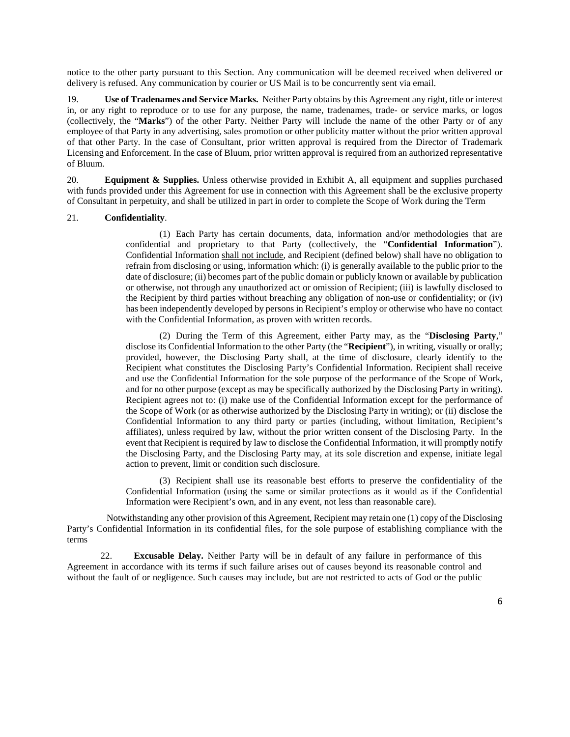notice to the other party pursuant to this Section. Any communication will be deemed received when delivered or delivery is refused. Any communication by courier or US Mail is to be concurrently sent via email.

19. **Use of Tradenames and Service Marks.** Neither Party obtains by this Agreement any right, title or interest in, or any right to reproduce or to use for any purpose, the name, tradenames, trade- or service marks, or logos (collectively, the "**Marks**") of the other Party. Neither Party will include the name of the other Party or of any employee of that Party in any advertising, sales promotion or other publicity matter without the prior written approval of that other Party. In the case of Consultant, prior written approval is required from the Director of Trademark Licensing and Enforcement. In the case of Bluum, prior written approval is required from an authorized representative of Bluum.

20. **Equipment & Supplies.** Unless otherwise provided in Exhibit A, all equipment and supplies purchased with funds provided under this Agreement for use in connection with this Agreement shall be the exclusive property of Consultant in perpetuity, and shall be utilized in part in order to complete the Scope of Work during the Term

### 21. **Confidentiality**.

(1) Each Party has certain documents, data, information and/or methodologies that are confidential and proprietary to that Party (collectively, the "**Confidential Information**"). Confidential Information shall not include, and Recipient (defined below) shall have no obligation to refrain from disclosing or using, information which: (i) is generally available to the public prior to the date of disclosure; (ii) becomes part of the public domain or publicly known or available by publication or otherwise, not through any unauthorized act or omission of Recipient; (iii) is lawfully disclosed to the Recipient by third parties without breaching any obligation of non-use or confidentiality; or (iv) has been independently developed by persons in Recipient's employ or otherwise who have no contact with the Confidential Information, as proven with written records.

(2) During the Term of this Agreement, either Party may, as the "**Disclosing Party**," disclose its Confidential Information to the other Party (the "**Recipient**"), in writing, visually or orally; provided, however, the Disclosing Party shall, at the time of disclosure, clearly identify to the Recipient what constitutes the Disclosing Party's Confidential Information. Recipient shall receive and use the Confidential Information for the sole purpose of the performance of the Scope of Work, and for no other purpose (except as may be specifically authorized by the Disclosing Party in writing). Recipient agrees not to: (i) make use of the Confidential Information except for the performance of the Scope of Work (or as otherwise authorized by the Disclosing Party in writing); or (ii) disclose the Confidential Information to any third party or parties (including, without limitation, Recipient's affiliates), unless required by law, without the prior written consent of the Disclosing Party. In the event that Recipient is required by law to disclose the Confidential Information, it will promptly notify the Disclosing Party, and the Disclosing Party may, at its sole discretion and expense, initiate legal action to prevent, limit or condition such disclosure.

(3) Recipient shall use its reasonable best efforts to preserve the confidentiality of the Confidential Information (using the same or similar protections as it would as if the Confidential Information were Recipient's own, and in any event, not less than reasonable care).

 Notwithstanding any other provision of this Agreement, Recipient may retain one (1) copy of the Disclosing Party's Confidential Information in its confidential files, for the sole purpose of establishing compliance with the terms

22. **Excusable Delay.** Neither Party will be in default of any failure in performance of this Agreement in accordance with its terms if such failure arises out of causes beyond its reasonable control and without the fault of or negligence. Such causes may include, but are not restricted to acts of God or the public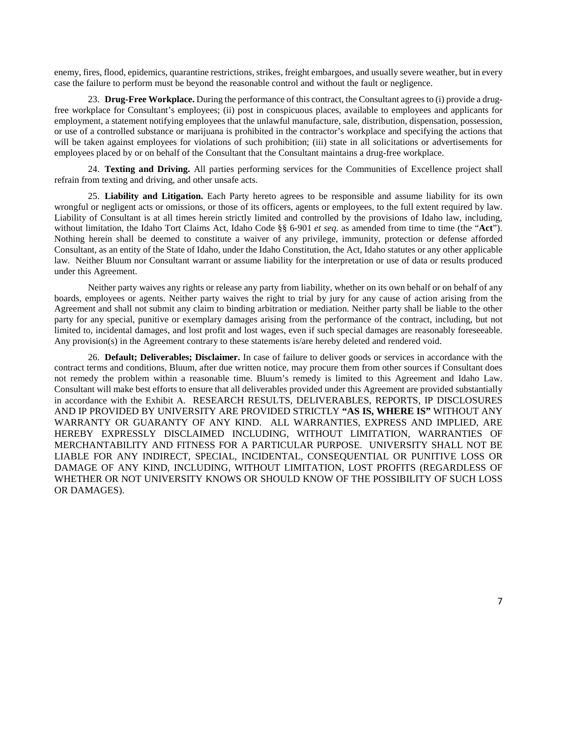enemy, fires, flood, epidemics, quarantine restrictions, strikes, freight embargoes, and usually severe weather, but in every case the failure to perform must be beyond the reasonable control and without the fault or negligence.

23. **Drug-Free Workplace.** During the performance of this contract, the Consultant agrees to (i) provide a drugfree workplace for Consultant's employees; (ii) post in conspicuous places, available to employees and applicants for employment, a statement notifying employees that the unlawful manufacture, sale, distribution, dispensation, possession, or use of a controlled substance or marijuana is prohibited in the contractor's workplace and specifying the actions that will be taken against employees for violations of such prohibition; (iii) state in all solicitations or advertisements for employees placed by or on behalf of the Consultant that the Consultant maintains a drug-free workplace.

24. **Texting and Driving.** All parties performing services for the Communities of Excellence project shall refrain from texting and driving, and other unsafe acts.

25. **Liability and Litigation.** Each Party hereto agrees to be responsible and assume liability for its own wrongful or negligent acts or omissions, or those of its officers, agents or employees, to the full extent required by law. Liability of Consultant is at all times herein strictly limited and controlled by the provisions of Idaho law, including, without limitation, the Idaho Tort Claims Act, Idaho Code §§ 6-901 *et seq.* as amended from time to time (the "**Act**"). Nothing herein shall be deemed to constitute a waiver of any privilege, immunity, protection or defense afforded Consultant, as an entity of the State of Idaho, under the Idaho Constitution, the Act, Idaho statutes or any other applicable law. Neither Bluum nor Consultant warrant or assume liability for the interpretation or use of data or results produced under this Agreement.

Neither party waives any rights or release any party from liability, whether on its own behalf or on behalf of any boards, employees or agents. Neither party waives the right to trial by jury for any cause of action arising from the Agreement and shall not submit any claim to binding arbitration or mediation. Neither party shall be liable to the other party for any special, punitive or exemplary damages arising from the performance of the contract, including, but not limited to, incidental damages, and lost profit and lost wages, even if such special damages are reasonably foreseeable. Any provision(s) in the Agreement contrary to these statements is/are hereby deleted and rendered void.

26. **Default; Deliverables; Disclaimer.** In case of failure to deliver goods or services in accordance with the contract terms and conditions, Bluum, after due written notice, may procure them from other sources if Consultant does not remedy the problem within a reasonable time. Bluum's remedy is limited to this Agreement and Idaho Law. Consultant will make best efforts to ensure that all deliverables provided under this Agreement are provided substantially in accordance with the Exhibit A. RESEARCH RESULTS, DELIVERABLES, REPORTS, IP DISCLOSURES AND IP PROVIDED BY UNIVERSITY ARE PROVIDED STRICTLY **"AS IS, WHERE IS"** WITHOUT ANY WARRANTY OR GUARANTY OF ANY KIND. ALL WARRANTIES, EXPRESS AND IMPLIED, ARE HEREBY EXPRESSLY DISCLAIMED INCLUDING, WITHOUT LIMITATION, WARRANTIES OF MERCHANTABILITY AND FITNESS FOR A PARTICULAR PURPOSE. UNIVERSITY SHALL NOT BE LIABLE FOR ANY INDIRECT, SPECIAL, INCIDENTAL, CONSEQUENTIAL OR PUNITIVE LOSS OR DAMAGE OF ANY KIND, INCLUDING, WITHOUT LIMITATION, LOST PROFITS (REGARDLESS OF WHETHER OR NOT UNIVERSITY KNOWS OR SHOULD KNOW OF THE POSSIBILITY OF SUCH LOSS OR DAMAGES).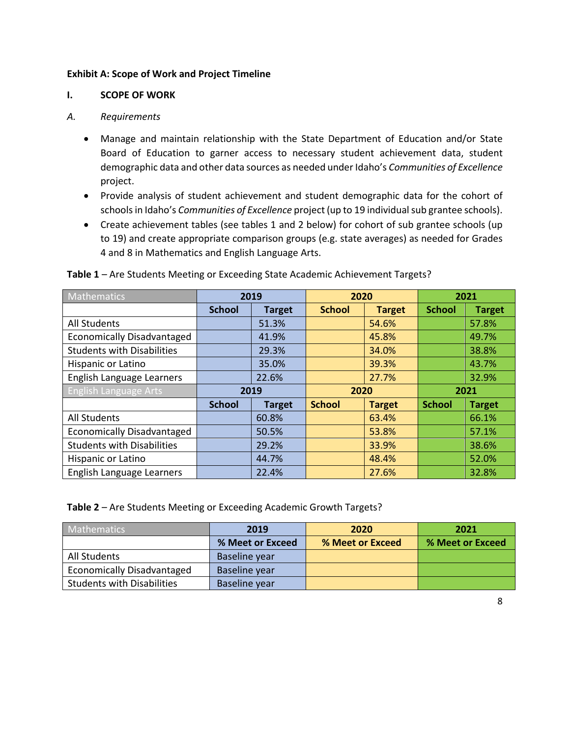## **Exhibit A: Scope of Work and Project Timeline**

### **I. SCOPE OF WORK**

## *A. Requirements*

- Manage and maintain relationship with the State Department of Education and/or State Board of Education to garner access to necessary student achievement data, student demographic data and other data sources as needed under Idaho's *Communities of Excellence* project.
- Provide analysis of student achievement and student demographic data for the cohort of schools in Idaho's *Communities of Excellence* project (up to 19 individual sub grantee schools).
- Create achievement tables (see tables 1 and 2 below) for cohort of sub grantee schools (up to 19) and create appropriate comparison groups (e.g. state averages) as needed for Grades 4 and 8 in Mathematics and English Language Arts.

| Mathematics                       | 2019          |               | 2020          |               | 2021          |               |
|-----------------------------------|---------------|---------------|---------------|---------------|---------------|---------------|
|                                   | <b>School</b> | <b>Target</b> | <b>School</b> | <b>Target</b> | <b>School</b> | <b>Target</b> |
| <b>All Students</b>               |               | 51.3%         |               | 54.6%         |               | 57.8%         |
| <b>Economically Disadvantaged</b> |               | 41.9%         |               | 45.8%         |               | 49.7%         |
| <b>Students with Disabilities</b> |               | 29.3%         |               | 34.0%         |               | 38.8%         |
| Hispanic or Latino                |               | 35.0%         |               | 39.3%         |               | 43.7%         |
| English Language Learners         |               | 22.6%         |               | 27.7%         |               | 32.9%         |
|                                   | 2019          |               | 2020          |               |               |               |
| <b>English Language Arts</b>      |               |               |               |               |               | 2021          |
|                                   | <b>School</b> | <b>Target</b> | <b>School</b> | <b>Target</b> | <b>School</b> | <b>Target</b> |
| <b>All Students</b>               |               | 60.8%         |               | 63.4%         |               | 66.1%         |
| <b>Economically Disadvantaged</b> |               | 50.5%         |               | 53.8%         |               | 57.1%         |
| <b>Students with Disabilities</b> |               | 29.2%         |               | 33.9%         |               | 38.6%         |
| Hispanic or Latino                |               | 44.7%         |               | 48.4%         |               | 52.0%         |

**Table 1** – Are Students Meeting or Exceeding State Academic Achievement Targets?

**Table 2** – Are Students Meeting or Exceeding Academic Growth Targets?

| <b>Mathematics</b>                | 2019             | 2020             | 2021             |
|-----------------------------------|------------------|------------------|------------------|
|                                   | % Meet or Exceed | % Meet or Exceed | % Meet or Exceed |
| All Students                      | Baseline year    |                  |                  |
| <b>Economically Disadvantaged</b> | Baseline year    |                  |                  |
| <b>Students with Disabilities</b> | Baseline year    |                  |                  |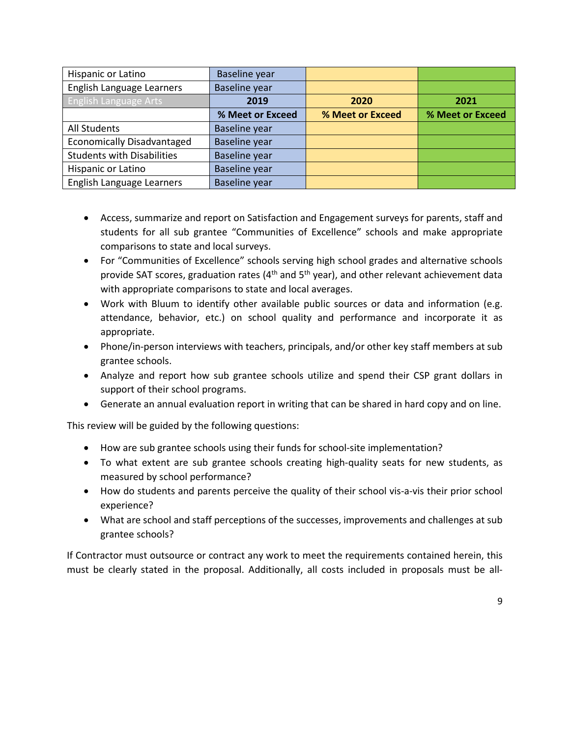| Hispanic or Latino                | Baseline year        |                  |                  |
|-----------------------------------|----------------------|------------------|------------------|
| English Language Learners         | <b>Baseline year</b> |                  |                  |
| <b>English Language Arts</b>      | 2019                 | 2020             | 2021             |
|                                   | % Meet or Exceed     | % Meet or Exceed | % Meet or Exceed |
| <b>All Students</b>               | Baseline year        |                  |                  |
| <b>Economically Disadvantaged</b> | <b>Baseline year</b> |                  |                  |
| <b>Students with Disabilities</b> | <b>Baseline year</b> |                  |                  |
| Hispanic or Latino                | Baseline year        |                  |                  |
| English Language Learners         | <b>Baseline year</b> |                  |                  |

- Access, summarize and report on Satisfaction and Engagement surveys for parents, staff and students for all sub grantee "Communities of Excellence" schools and make appropriate comparisons to state and local surveys.
- For "Communities of Excellence" schools serving high school grades and alternative schools provide SAT scores, graduation rates ( $4<sup>th</sup>$  and  $5<sup>th</sup>$  year), and other relevant achievement data with appropriate comparisons to state and local averages.
- Work with Bluum to identify other available public sources or data and information (e.g. attendance, behavior, etc.) on school quality and performance and incorporate it as appropriate.
- Phone/in-person interviews with teachers, principals, and/or other key staff members at sub grantee schools.
- Analyze and report how sub grantee schools utilize and spend their CSP grant dollars in support of their school programs.
- Generate an annual evaluation report in writing that can be shared in hard copy and on line.

This review will be guided by the following questions:

- How are sub grantee schools using their funds for school-site implementation?
- To what extent are sub grantee schools creating high-quality seats for new students, as measured by school performance?
- How do students and parents perceive the quality of their school vis-a-vis their prior school experience?
- What are school and staff perceptions of the successes, improvements and challenges at sub grantee schools?

If Contractor must outsource or contract any work to meet the requirements contained herein, this must be clearly stated in the proposal. Additionally, all costs included in proposals must be all-